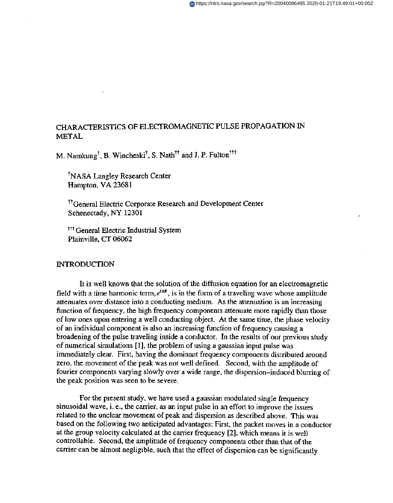# CHARACTERISTICS OF ELECTROMAGNETIC PULSE PROPAGATION IN METAL

M. Namkung<sup>†</sup>, B. Wincheski<sup>†</sup>, S. Nath<sup>††</sup> and J. P. Fulton<sup>†††</sup>

'NASA Langley Research Center Hampton, VA 23681

<sup>††</sup>General Electric Corporate Research and Development Center Schenectady, NY 12301

t<sup>11</sup> General Electric Industrial System Plainville, CT 06062

#### INTRODUCTION

It is well known that the solution of the diffusion equation for an electromagnetic field with a time harmonic term,  $e^{i\omega t}$ , is in the form of a traveling wave whose amplitude attenuates over distance into a conducting medium. **As** the attenuation is an increasing function of frequency, the high frequency components attenuate more rapidly than those of low ones upon entering a well conducting object. At the same time, the phase velocity of an individual component is also an increasing function of frequency causing a broadening of the pulse traveling inside a conductor. In the results of our previous study of numerical simulations [ 11, the problem of using a gaussian input pulse was immediately clear. First, having the dominant frequency components distributed around zero, the movement of the peak was not well defined. Second, with the amplitude of fourier components varying slowly over a wide range, the dispersion-induced blurring of the peak position was seen to be severe.

For the present study, we have used a gaussian modulated single frequency sinusoidal wave, i. e., the carrier, as an input pulse in an effort to improve the issues related to the unclear movement of peak and dispersion as described above. This was based on the following two anticipated advantages: First, the packet moves in a conductor at the group velocity calculated at the carrier frequency *[2],* which means it is well controllable. Second, the amplitude of frequency components other than that of the carrier can be almost negligible, such that the effect of dispersion can be significantly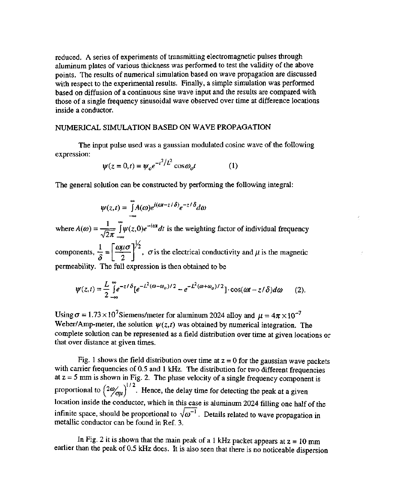reduced. **A** series of experiments of transmitting electromagnetic pulses through aluminum plates of various thickness was performed to test the validity of the above points. The results of numerical simulation based on wave propagation are discussed with respect to the experimental results. Finally, a simple simulation was performed based on diffusion of a continuous sine wave input and the results are compared with those of a single frequency sinusoidal wave observed over time at difference locations inside a conductor.

## NUMERICAL SIMULATION BASED ON WAVE PROPAGATION

The input pulse used was a gaussian modulated cosine wave of the following expression:

$$
\psi(z=0,t) = \psi_o e^{-t^2/L^2} \cos \omega_o t \tag{1}
$$

The general solution can be constructed by performing the following integral:

$$
\psi(z,t) = \int_{-\infty}^{\infty} A(\omega)e^{i(\omega t - z/\delta)}e^{-z/\delta}d\omega
$$

 $1-\tilde{r}_{\text{net}}$  $\psi(z,t) = \int_{-\infty}^{\infty} A(\omega)e^{i(\omega t - z/\delta)}e^{-z/\delta}d\omega$ <br>where  $A(\omega) = \frac{1}{\sqrt{2\pi}}\int_{-\infty}^{\infty} \psi(z,0)e^{-i\omega t}dt$  is the weighting factor of individual frequency

,  $\sigma$  is the electrical conductivity and  $\mu$  is the magnetic permeability. The full expression is then obtained to be

$$
\psi(z,t) = \frac{L}{2} \int_{-\infty}^{\infty} e^{-z/\delta} \left[e^{-L^2(\omega - \omega_o)/2} - e^{-L^2(\omega + \omega_o)/2}\right] \cdot \cos(\omega t - z/\delta) d\omega \qquad (2).
$$

Using  $\sigma = 1.73 \times 10^7$ Siemens/meter for aluminum 2024 alloy and  $\mu = 4\pi \times 10^{-7}$ Weber/Amp-meter, the solution  $\psi(z, t)$  was obtained by numerical integration. The complete solution can be represented as a field distribution over time at given locations or that over distance at given times.

[Fig. 1](#page-2-0) shows the field distribution over time at  $z = 0$  for the gaussian wave packets with carrier frequencies of 0.5 and 1 kHz. The distribution for two different frequencies at  $z = 5$  mm is shown in Fig. 2. The phase velocity of a single frequency component is proportional to  $\left(2\omega_{\text{opt}}\right)^{1/2}$ . Hence, the delay time for detecting the peak at a given location inside the conductor, which in this case is aluminum 2024 filling one half of the infinite space, should be proporti location inside the conductor, which in this case is aluminum 2024 filling one half of the metallic conductor can be found in Ref. **3.** 

In Fig. 2 it is shown that the main peak of a 1 kHz packet appears at  $z = 10$  mm earlier than the peak of 0.5 **kHz** does. It is also seen that there is no noticeable dispersion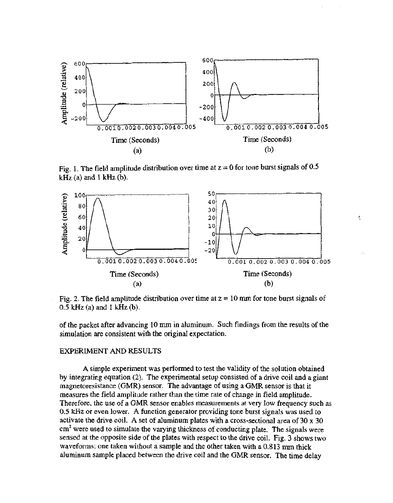<span id="page-2-0"></span>

Fig. 1. The field amplitude distribution over time at  $z = 0$  for tone burst signals of 0.5 **kHz** (a) and 1 **kHz** (b).



Ķ

Fig. 2. The field amplitude distribution over time at  $z = 10$  mm for tone burst signals of 0.5 **kHz** (a) and 1 **kHz** (b).

of the packet after advancing 10 mm in aluminum. Such findings from the results of the simulation are consistent with the original expectation.

#### EXPERIMENT AND RESULTS

A simple experiment was performed to test the validity of the solution obtained by integrating equation **(2).** The experimental setup consisted of a drive coil and a giant magnetoresistance (GMR) sensor. The advantage of using a GMR sensor is that it measures the field amplitude rather than the time rate of change in field amplitude. Therefore, the use of a GMR sensor enables measurements at very low frequency such as *0.5* **kHz** or even lower. **A** function generator providing tone burst signals was used to activate the drive coil. A set of aluminum plates with a cross-sectional area of 30 x 30 cm<sup>2</sup> were used to simulate the varying thickness of conducting plate. The signals were sensed at the opposite side of the plates with respect to the drive coil. Fig. 3 shows two waveforms; one taken without a sample and the other taken with a 0.813 mm thick aluminum sample placed between the drive coil and the GMR sensor. The time delay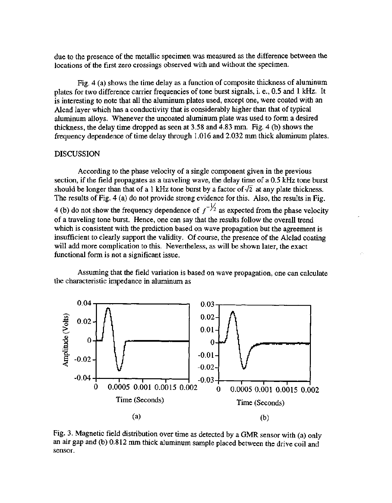due to the presence of the metallic specimen was measured as the difference between the locations of the first zero crossings observed with and without the specimen.

Fig. 4 (a) shows the time delay as a function of composite thickness of aluminum plates for two difference carrier frequencies of tone burst signals, i. e., 0.5 and 1 **kHz.** It is interesting to note that all the aluminum plates used, except one, were coated with an Alcad layer which has a conductivity that is considerably higher than that of typical aluminum alloys. Whenever the uncoated aluminum plate was used to form a desired thickness, the delay time dropped as seen at 3.58 and 4.83 mm. Fig. 4 (b) shows the frequency dependence of time delay through 1.016 and 2.032 mm thick aluminum plates.

#### DISCUSSION

According to the phase velocity of a single component given in the previous section, if the field propagates as a traveling wave, the delay time of a 0.5 **kHz** tone burst should be longer than that of a 1 kHz tone burst by a factor of  $\sqrt{2}$  at any plate thickness. The results of Fig. 4 (a) do not provide strong evidence for this. Also, the results in Fig. 4 (b) do not show the frequency dependence of  $f^{-\frac{1}{2}}$  as expected from the phase velocity of a traveling tone burst. Hence, one can say that the results follow the overall trend which is consistent with the prediction based on wave propagation but the agreement is insufficient to clearly support the validity. Of course, the presence of the Alclad coating will add more complication to this. Nevertheless, as will be shown later, the exact functional form is not a significant issue.

Assuming that the field variation is based on wave propagation, one can calculate the characteristic impedance in aluminum as



Fig. 3. Magnetic field distribution over time as detected by a GMR sensor with (a) only an air gap and (b) 0.8 12 mm thick aluminum sample placed between the drive coil and sensor.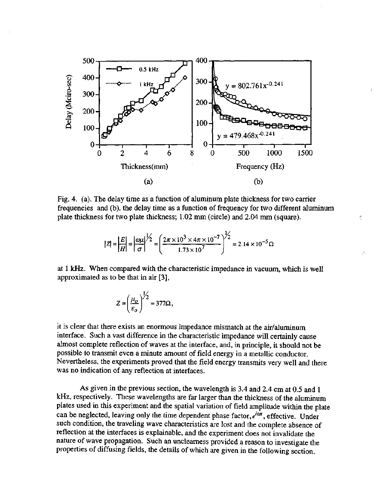

Fig. 4. (a). The delay time as a function of aluminum plate thickness for two carrier frequencies and (b). the delay time as a function of frequency for two different aluminum plate thickness for two plate thickness;  $1.02~mm$  (circle) and  $2.04~mm$  (square).

$$
|Z| = \left|\frac{E}{H}\right| = \left|\frac{\omega \mu}{\sigma}\right|^{1/2} = \left(\frac{2\pi \times 10^3 \times 4\pi \times 10^{-7}}{1.73 \times 10^7}\right)^{1/2} = 2.14 \times 10^{-5} \Omega
$$

y.

at 1 **kHz.** When compared with the characteristic impedance in vacuum, which is well approximated as to be that in air **[3],** 

$$
Z = \left(\frac{\mu_o}{\varepsilon_o}\right)^{1/2} = 377\Omega,
$$

it is clear that there exists an enormous impedance mismatch at the air/aluminum interface. Such a vast difference in the characteristic impedance will certainly cause almost complete reflection of waves at the interface, and, in principle, it should not be possible to transmit even a minute amount of field energy in a metallic conductor. Nevertheless, the experiments proved that the field energy transmits very well and there was no indication of any reflection at interfaces.

**As** given in the previous section, the wavelength is 3.4 and 2.4 cm at 0.5 and 1 **kHz,** respectively. These wavelengths are far larger than the thickness of the aluminum plates used in this experiment and the spatial variation of field amplitude within the plate can be neglected, leaving only the time dependent phase factor, *eiw* , effective. Under such condition, the traveling wave characteristics are lost and the complete absence of reflection at the interfaces is explainable, and the experiment does not invalidate the nature of wave propagation. Such an unclearness provided a reason to investigate the properties of diffusing fields, the details of which are given in the following section.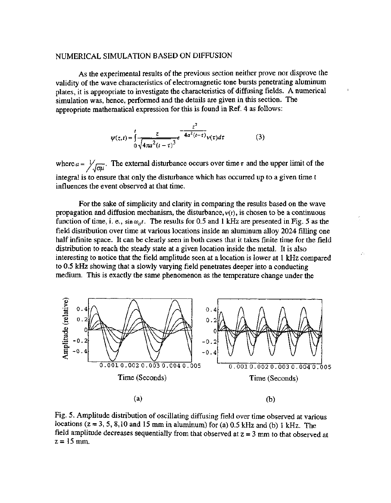## NUMERICAL SIMULATION BASED ON DIFFUSION

As the experimental results of the previous section neither prove nor disprove the validity of the wave characteristics of electromagnetic tone bursts penetrating aluminum plates, it is appropriate to investigate the characteristics of diffusing fields. **A** numerical simulation was, hence, performed and the details are given in this section. The appropriate mathematical expression for this is found in Ref. **4** as follows:

$$
\psi(z,t) = \int_{0}^{t} \frac{z}{\sqrt{4\pi a^{2}(t-\tau)}^{2}} e^{-\frac{z^{2}}{4a^{2}(t-\tau)}} \nu(\tau) d\tau
$$
(3)

where  $a = \frac{1}{\sqrt{\sigma \mu}}$ . The external disturbance occurs over time  $\tau$  and the upper limit of the integral is to ensure that only the disturbance which has occurred up to a given time t influences the event observed at that time.

For the sake of simplicity and clarity in comparing the results based on the wave propagation and diffusion mechanism, the disturbance,  $v(t)$ , is chosen to be a continuous function of time, i. e.,  $\sin \omega_o t$ . The results for 0.5 and 1 kHz are presented in Fig. 5 as the field distribution over time at various locations inside an aluminum alloy 2024 filling one half infinite space. It can be clearly seen in both cases that it takes finite time for the field distribution to reach the steady state at a given location inside the metal. It is also interesting to notice that the field amplitude seen at a location is lower at 1 **kHz** compared to 0.5 **kHz** showing that a slowly varying field penetrates deeper into a conducting medium. This is exactly the same phenomenon as the temperature change under the

P.



Fig. 5. Amplitude distribution of oscillating diffusing field over time observed at various locations (z = **3,5,8,10** and 15 mm in aluminum) for (a) 0.5 kHz and (b) 1 **kHz.** The field amplitude decreases sequentially from that observed at z = **3** mm to that observed at  $z = 15$  mm.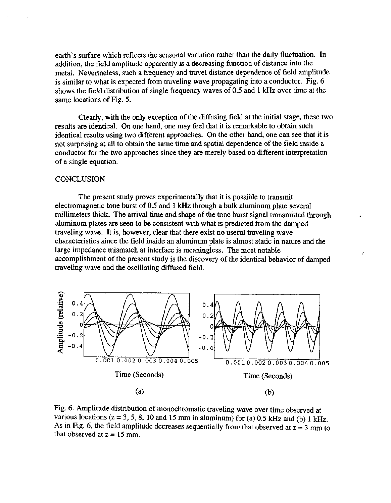earth's surface which reflects the seasonal variation rather than the daily fluctuation. In addition, the field amplitude apparently is a decreasing function of distance into the metal. Nevertheless, such a frequency and travel distance dependence of field amplitude is similar to what is expected from traveling wave propagating into a conductor. Fig. 6 shows the field distribution of single frequency waves of 0.5 and 1 **kHz** over time at the same locations of Fig. 5.

Clearly, with the only exception of the diffusing field at the initial stage, these two results are identical. On one hand, one may feel that it is remarkable to obtain such identical results using two different approaches. On the other hand, one can see that it is not surprising at all to obtain the same time and spatial dependence of the field inside a conductor for the two approaches since they are merely based on different interpretation of a single equation.

### **CONCLUSION**

The present study proves experimentally that it is possible to transmit electromagnetic tone burst of 0.5 and 1 kHz through a bulk aluminum plate several millimeters thick. The arrival time and shape of the tone burst signal transmitted through aluminum plates are seen to be consistent with what is predicted from the damped traveling wave. It is, however, clear that there exist no useful traveling wave characteristics since the field inside an aluminum plate is almost static in nature and the large impedance mismatch at interface is meaningless. The most notable accomplishment of the present study is the discovery of the identical behavior of damped traveling wave and the oscillating diffused field.



Fig. *6.* Amplitude distribution of monochromatic traveling wave over time observed at various locations  $(z = 3, 5, 8, 10 \text{ and } 15 \text{ mm in aluminum})$  for (a) 0.5 kHz and (b) 1 kHz. As in Fig. 6, the field amplitude decreases sequentially from that observed at  $z = 3$  mm to that observed at  $z = 15$  mm.